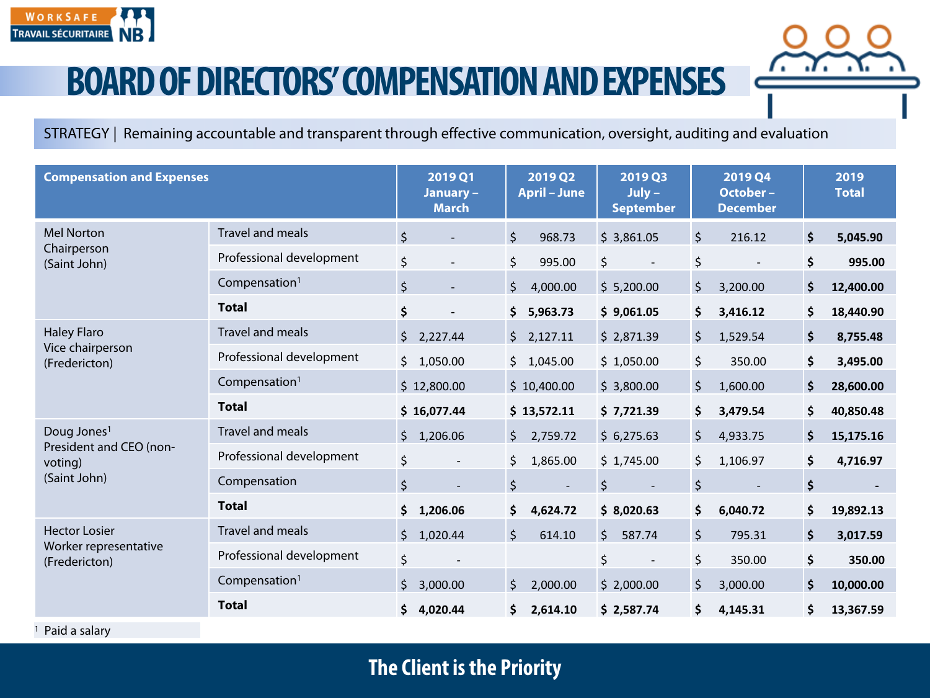

## **BOARD OF DIRECTORS' COMPENSATION AND EXPENSES**

STRATEGY | Remaining accountable and transparent through effective communication, oversight, auditing and evaluation

| <b>Compensation and Expenses</b>                                              |                           | 2019 Q1<br>January-<br><b>March</b> | 2019 Q2<br><b>April - June</b>      | 2019 Q3<br>July-<br><b>September</b> | 2019 Q4<br>October-<br><b>December</b> | 2019<br><b>Total</b> |
|-------------------------------------------------------------------------------|---------------------------|-------------------------------------|-------------------------------------|--------------------------------------|----------------------------------------|----------------------|
| <b>Mel Norton</b><br>Chairperson<br>(Saint John)                              | Travel and meals          | $\zeta$                             | $\zeta$<br>968.73                   | \$3,861.05                           | $\zeta$<br>216.12                      | \$<br>5,045.90       |
|                                                                               | Professional development  | \$                                  | \$<br>995.00                        | \$                                   | \$                                     | \$<br>995.00         |
|                                                                               | Compensation <sup>1</sup> | \$                                  | $\zeta$<br>4,000.00                 | \$5,200.00                           | $\zeta$<br>3,200.00                    | \$<br>12,400.00      |
|                                                                               | <b>Total</b>              | \$                                  | \$<br>5,963.73                      | \$9,061.05                           | \$<br>3,416.12                         | \$<br>18,440.90      |
| <b>Haley Flaro</b><br>Vice chairperson<br>(Fredericton)                       | Travel and meals          | \$2,227.44                          | $\zeta$<br>2,127.11                 | \$2,871.39                           | $\zeta$<br>1,529.54                    | \$<br>8,755.48       |
|                                                                               | Professional development  | \$1,050.00                          | \$1,045.00                          | \$1,050.00                           | \$<br>350.00                           | \$<br>3,495.00       |
|                                                                               | Compensation <sup>1</sup> | \$12,800.00                         | \$10,400.00                         | \$3,800.00                           | $\zeta$<br>1,600.00                    | \$<br>28,600.00      |
|                                                                               | <b>Total</b>              | \$16,077.44                         | \$13,572.11                         | \$7,721.39                           | \$<br>3,479.54                         | \$<br>40,850.48      |
| Doug Jones <sup>1</sup><br>President and CEO (non-<br>voting)<br>(Saint John) | Travel and meals          | \$1,206.06                          | \$<br>2,759.72                      | \$6,275.63                           | \$<br>4,933.75                         | \$<br>15,175.16      |
|                                                                               | Professional development  | \$                                  | \$<br>1,865.00                      | \$1,745.00                           | \$<br>1,106.97                         | \$<br>4,716.97       |
|                                                                               | Compensation              | $\zeta$                             | $\zeta$<br>$\overline{\phantom{a}}$ | $\zeta$                              | $\zeta$                                | \$                   |
|                                                                               | <b>Total</b>              | \$<br>1,206.06                      | \$<br>4,624.72                      | \$8,020.63                           | \$<br>6,040.72                         | \$<br>19,892.13      |
| <b>Hector Losier</b><br>Worker representative<br>(Fredericton)                | Travel and meals          | \$<br>1,020.44                      | $\zeta$<br>614.10                   | \$<br>587.74                         | $\zeta$<br>795.31                      | \$<br>3,017.59       |
|                                                                               | Professional development  | \$                                  |                                     | \$                                   | \$<br>350.00                           | \$<br>350.00         |
|                                                                               | Compensation <sup>1</sup> | \$<br>3,000.00                      | \$<br>2,000.00                      | \$2,000.00                           | $\zeta$<br>3,000.00                    | \$<br>10,000.00      |
|                                                                               | <b>Total</b>              | \$<br>4,020.44                      | Ś.<br>2,614.10                      | \$2,587.74                           | Ŝ.<br>4,145.31                         | Ś<br>13,367.59       |

<sup>1</sup> Paid a salary

**The Client is the Priority**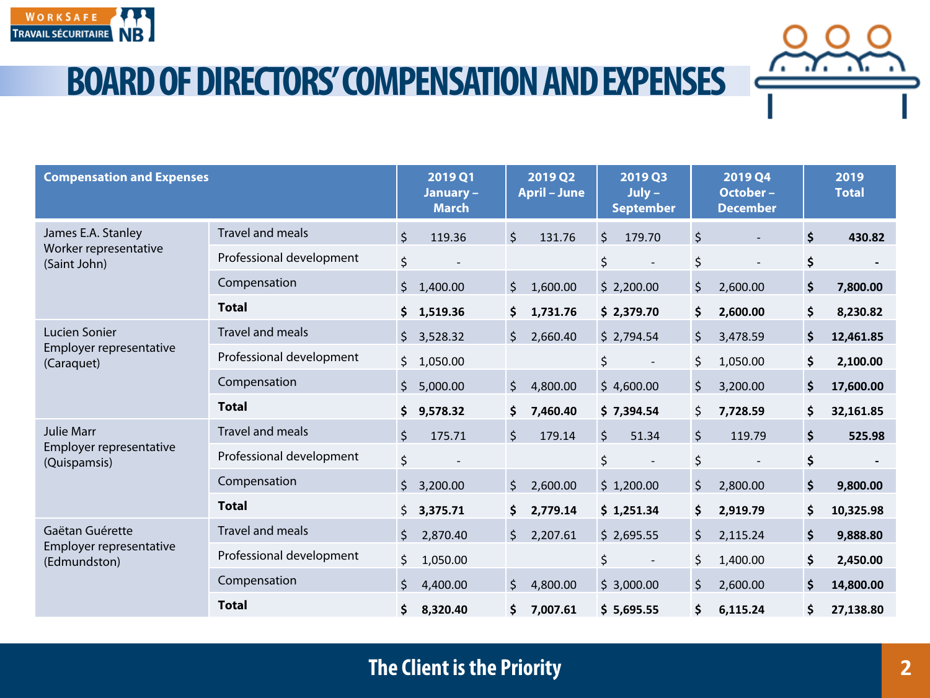

**BOARD OF DIRECTORS' COMPENSATION AND EXPENSES**

| <b>Compensation and Expenses</b>                             |                          |         | 2019 Q1<br>January-<br><b>March</b> |         | 2019 Q2<br><b>April - June</b> |         | 2019 Q3<br>$July -$<br><b>September</b> |         | 2019 Q4<br>October-<br><b>December</b> |                    | 2019<br><b>Total</b> |
|--------------------------------------------------------------|--------------------------|---------|-------------------------------------|---------|--------------------------------|---------|-----------------------------------------|---------|----------------------------------------|--------------------|----------------------|
| James E.A. Stanley<br>Worker representative<br>(Saint John)  | <b>Travel and meals</b>  | $\zeta$ | 119.36                              | \$      | 131.76                         | $\zeta$ | 179.70                                  | $\zeta$ |                                        | $\dot{\mathsf{s}}$ | 430.82               |
|                                                              | Professional development | \$      |                                     |         |                                | \$      |                                         | \$      |                                        | \$                 |                      |
|                                                              | Compensation             | $\zeta$ | 1,400.00                            | $\zeta$ | 1,600.00                       |         | \$2,200.00                              | $\zeta$ | 2,600.00                               | \$                 | 7,800.00             |
|                                                              | <b>Total</b>             | \$      | 1,519.36                            | \$      | 1,731.76                       |         | \$2,379.70                              | \$      | 2,600.00                               | \$                 | 8,230.82             |
| Lucien Sonier<br>Employer representative<br>(Caraquet)       | <b>Travel and meals</b>  | $\zeta$ | 3,528.32                            | \$      | 2,660.40                       |         | \$2,794.54                              | $\zeta$ | 3,478.59                               | \$                 | 12,461.85            |
|                                                              | Professional development | \$      | 1,050.00                            |         |                                | \$      | $\overline{\phantom{a}}$                | \$      | 1,050.00                               | \$                 | 2,100.00             |
|                                                              | Compensation             | \$      | 5,000.00                            | \$      | 4,800.00                       |         | \$4,600.00                              | $\zeta$ | 3,200.00                               | Ś                  | 17,600.00            |
|                                                              | <b>Total</b>             | \$      | 9,578.32                            | \$      | 7,460.40                       |         | \$7,394.54                              | \$      | 7,728.59                               | \$                 | 32,161.85            |
| <b>Julie Marr</b><br>Employer representative<br>(Quispamsis) | <b>Travel and meals</b>  | \$      | 175.71                              | \$      | 179.14                         | \$      | 51.34                                   | $\zeta$ | 119.79                                 | \$                 | 525.98               |
|                                                              | Professional development | \$      |                                     |         |                                | \$      |                                         | \$      |                                        | \$                 |                      |
|                                                              | Compensation             | \$      | 3,200.00                            | \$      | 2,600.00                       |         | \$1,200.00                              | $\zeta$ | 2,800.00                               | $\mathsf{\dot{S}}$ | 9,800.00             |
|                                                              | <b>Total</b>             | \$      | 3,375.71                            | \$      | 2,779.14                       |         | \$1,251.34                              | \$      | 2,919.79                               | \$                 | 10,325.98            |
| Gaëtan Guérette<br>Employer representative<br>(Edmundston)   | Travel and meals         | $\zeta$ | 2,870.40                            | \$      | 2,207.61                       |         | \$2,695.55                              | $\zeta$ | 2,115.24                               | \$                 | 9,888.80             |
|                                                              | Professional development | \$      | 1,050.00                            |         |                                | \$      |                                         | \$      | 1,400.00                               | \$                 | 2,450.00             |
|                                                              | Compensation             | \$      | 4,400.00                            | $\zeta$ | 4,800.00                       |         | \$3,000.00                              | $\zeta$ | 2,600.00                               | Ś                  | 14,800.00            |
|                                                              | <b>Total</b>             |         | 8,320.40                            | \$      | 7,007.61                       |         | \$5,695.55                              | \$      | 6,115.24                               | \$                 | 27,138.80            |

## **The Client is the Priority**

7. . 7. . X.